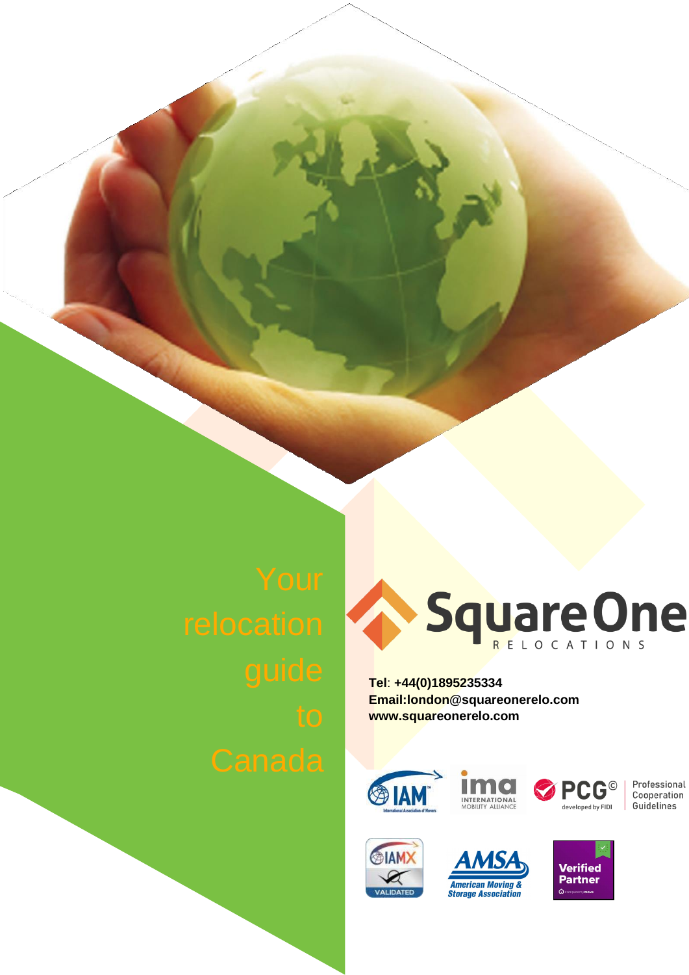

**Tel**: **+44(0)1895235334 [Email:london@squareonerelo.com](mailto:london@squareonerelo.com) [www.squareonerelo.com](http://www.squareonerelo.com/)**





Professional Cooperation Guidelines





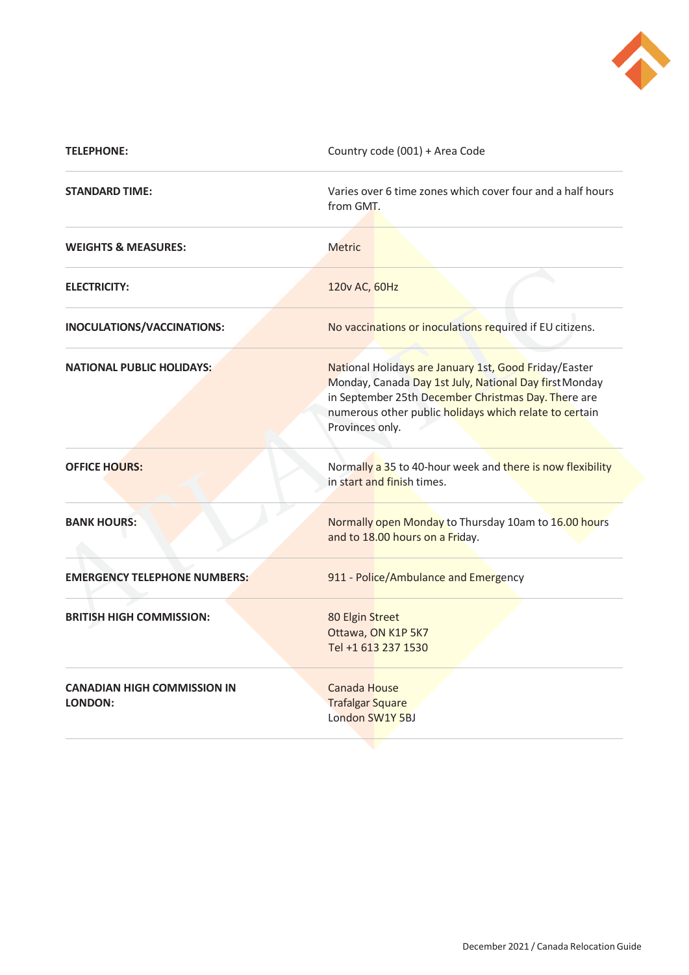

| <b>TELEPHONE:</b>                                    | Country code (001) + Area Code                                                                                                                                                                                                                      |
|------------------------------------------------------|-----------------------------------------------------------------------------------------------------------------------------------------------------------------------------------------------------------------------------------------------------|
| <b>STANDARD TIME:</b>                                | Varies over 6 time zones which cover four and a half hours<br>from GMT.                                                                                                                                                                             |
| <b>WEIGHTS &amp; MEASURES:</b>                       | <b>Metric</b>                                                                                                                                                                                                                                       |
| <b>ELECTRICITY:</b>                                  | 120v AC, 60Hz                                                                                                                                                                                                                                       |
| INOCULATIONS/VACCINATIONS:                           | No vaccinations or inoculations required if EU citizens.                                                                                                                                                                                            |
| <b>NATIONAL PUBLIC HOLIDAYS:</b>                     | National Holidays are January 1st, Good Friday/Easter<br>Monday, Canada Day 1st July, National Day first Monday<br>in September 25th December Christmas Day. There are<br>numerous other public holidays which relate to certain<br>Provinces only. |
| <b>OFFICE HOURS:</b>                                 | Normally a 35 to 40-hour week and there is now flexibility<br>in start and finish times.                                                                                                                                                            |
| <b>BANK HOURS:</b>                                   | Normally open Monday to Thursday 10am to 16.00 hours<br>and to 18.00 hours on a Friday.                                                                                                                                                             |
| <b>EMERGENCY TELEPHONE NUMBERS:</b>                  | 911 - Police/Ambulance and Emergency                                                                                                                                                                                                                |
| <b>BRITISH HIGH COMMISSION:</b>                      | 80 Elgin Street<br>Ottawa, ON K1P 5K7<br>Tel +1 613 237 1530                                                                                                                                                                                        |
| <b>CANADIAN HIGH COMMISSION IN</b><br><b>LONDON:</b> | Canada House<br><b>Trafalgar Square</b><br>London SW1Y 5BJ                                                                                                                                                                                          |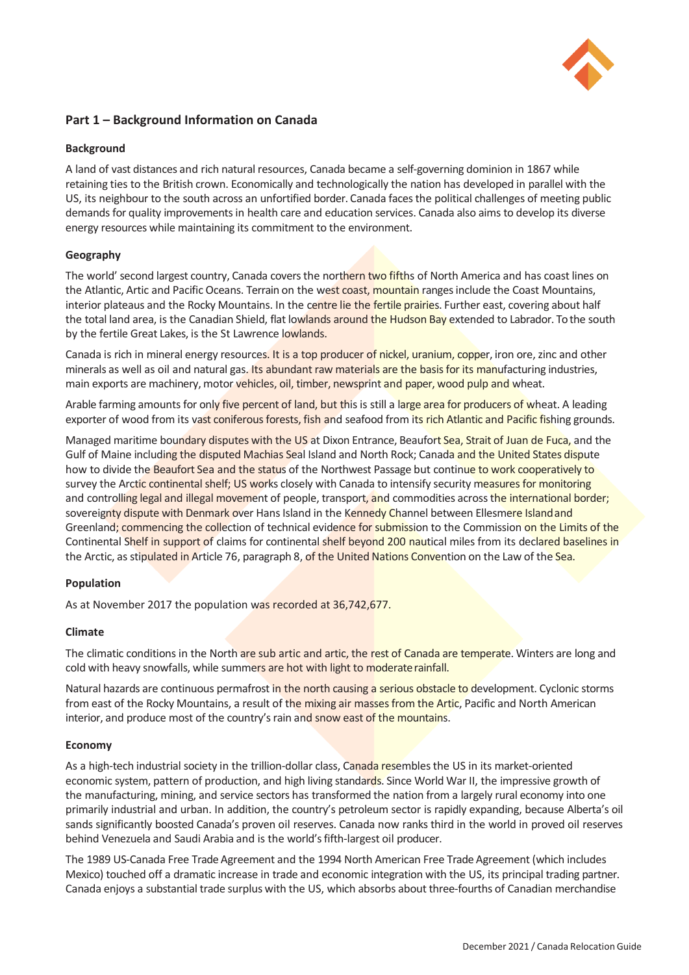

# **Part 1 – Background Information on Canada**

## **Background**

A land of vast distances and rich natural resources, Canada became a self-governing dominion in 1867 while retaining ties to the British crown. Economically and technologically the nation has developed in parallel with the US, its neighbour to the south across an unfortified border. Canada faces the political challenges of meeting public demands for quality improvements in health care and education services. Canada also aims to develop its diverse energy resources while maintaining its commitment to the environment.

# **Geography**

The world' second largest country, Canada covers the northern two fifths of North America and has coast lines on the Atlantic, Artic and Pacific Oceans. Terrain on the west coast, mountain ranges include the Coast Mountains, interior plateaus and the Rocky Mountains. In the centre lie the fertile prairies. Further east, covering about half the total land area, is the Canadian Shield, flat lowlands around the Hudson Bay extended to Labrador. To the south by the fertile Great Lakes, is the St Lawrence lowlands.

Canada is rich in mineral energy resources. It is a top producer of nickel, uranium, copper, iron ore, zinc and other minerals as well as oil and natural gas. Its abundant raw materials are the basis for its manufacturing industries, main exports are machinery, motor vehicles, oil, timber, newsprint and paper, wood pulp and wheat.

Arable farming amounts for only five percent of land, but this is still a large area for producers of wheat. A leading exporter of wood from its vast coniferous forests, fish and seafood from its rich Atlantic and Pacific fishing grounds.

Managed maritime boundary disputes with the US at Dixon Entrance, Beaufort Sea, Strait of Juan de Fuca, and the Gulf of Maine including the disputed Machias Seal Island and North Rock; Canada and the United States dispute how to divide the Beaufort Sea and the status of the Northwest Passage but continue to work cooperatively to survey the Arctic continental shelf; US works closely with Canada to intensify security measures for monitoring and controlling legal and illegal movement of people, transport, and commodities across the international border; sovereignty dispute with Denmark over Hans Island in the Kennedy Channel between Ellesmere Island and Greenland; commencing the collection of technical evidence for submission to the Commission on the Limits of the Continental Shelf in support of claims for continental shelf beyond 200 nautical miles from its declared baselines in the Arctic, as stipulated in Article 76, paragraph 8, of the United Nations Convention on the Law of the Sea.

# **Population**

As at November 2017 the population was recorded at 36,742,677.

## **Climate**

The climatic conditions in the North are sub artic and artic, the rest of Canada are temperate. Winters are long and cold with heavy snowfalls, while summers are hot with light to moderate rainfall.

Natural hazards are continuous permafrost in the north causing a serious obstacle to development. Cyclonic storms from east of the Rocky Mountains, a result of the mixing air masses from the Artic, Pacific and North American interior, and produce most of the country's rain and snow east of the mountains.

## **Economy**

As a high-tech industrial society in the trillion-dollar class, Canada resembles the US in its market-oriented economic system, pattern of production, and high living standards. Since World War II, the impressive growth of the manufacturing, mining, and service sectors has transformed the nation from a largely rural economy into one primarily industrial and urban. In addition, the country's petroleum sector is rapidly expanding, because Alberta's oil sands significantly boosted Canada's proven oil reserves. Canada now ranks third in the world in proved oil reserves behind Venezuela and Saudi Arabia and is the world's fifth-largest oil producer.

The 1989 US-Canada Free Trade Agreement and the 1994 North American Free Trade Agreement (which includes Mexico) touched off a dramatic increase in trade and economic integration with the US, its principal trading partner. Canada enjoys a substantial trade surplus with the US, which absorbs about three-fourths of Canadian merchandise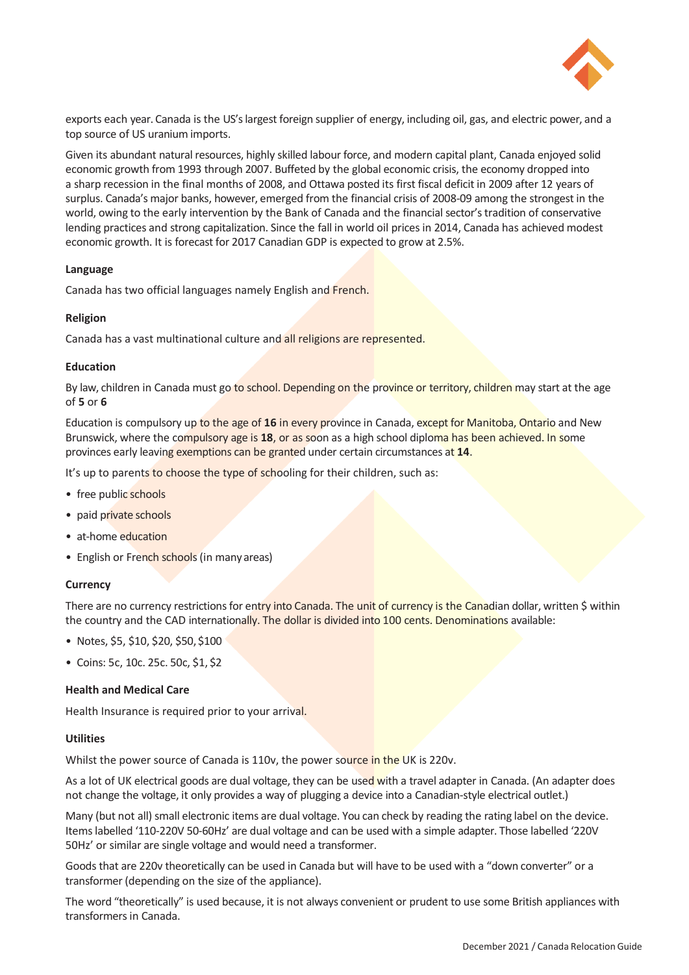

exports each year. Canada is the US's largest foreign supplier of energy, including oil, gas, and electric power, and a top source of US uranium imports.

Given its abundant natural resources, highly skilled labour force, and modern capital plant, Canada enjoyed solid economic growth from 1993 through 2007. Buffeted by the global economic crisis, the economy dropped into a sharp recession in the final months of 2008, and Ottawa posted its first fiscal deficit in 2009 after 12 years of surplus. Canada's major banks, however, emerged from the financial crisis of 2008-09 among the strongest in the world, owing to the early intervention by the Bank of Canada and the financial sector's tradition of conservative lending practices and strong capitalization. Since the fall in world oil prices in 2014, Canada has achieved modest economic growth. It is forecast for 2017 Canadian GDP is expected to grow at 2.5%.

## **Language**

Canada has two official languages namely English and French.

## **Religion**

Canada has a vast multinational culture and all religions are represented.

## **Education**

By law, children in Canada must go to school. Depending on the province or territory, children may start at the age of **5** or **6**

Education is compulsory up to the age of **16** in every province in Canada, except for Manitoba, Ontario and New Brunswick, where the compulsory age is **18**, or as soon as a high school diploma has been achieved. In some provinces early leaving exemptions can be granted under certain circumstances at **14**.

It's up to parents to choose the type of schooling for their children, such as:

- free public schools
- paid private schools
- at-home education
- English or French schools (in many areas)

# **Currency**

There are no currency restrictions for entry into Canada. The unit of currency is the Canadian dollar, written \$ within the country and the CAD internationally. The dollar is divided into 100 cents. Denominations available:

- Notes, \$5, \$10, \$20, \$50,\$100
- Coins: 5c, 10c. 25c. 50c, \$1, \$2

## **Health and Medical Care**

Health Insurance is required prior to your arrival.

## **Utilities**

Whilst the power source of Canada is 110v, the power source in the UK is 220v.

As a lot of UK electrical goods are dual voltage, they can be used with a travel adapter in Canada. (An adapter does not change the voltage, it only provides a way of plugging a device into a Canadian-style electrical outlet.)

Many (but not all) small electronic items are dual voltage. You can check by reading the rating label on the device. Items labelled '110-220V 50-60Hz' are dual voltage and can be used with a simple adapter. Those labelled '220V 50Hz' or similar are single voltage and would need a transformer.

Goods that are 220v theoretically can be used in Canada but will have to be used with a "down converter" or a transformer (depending on the size of the appliance).

The word "theoretically" is used because, it is not always convenient or prudent to use some British appliances with transformers in Canada.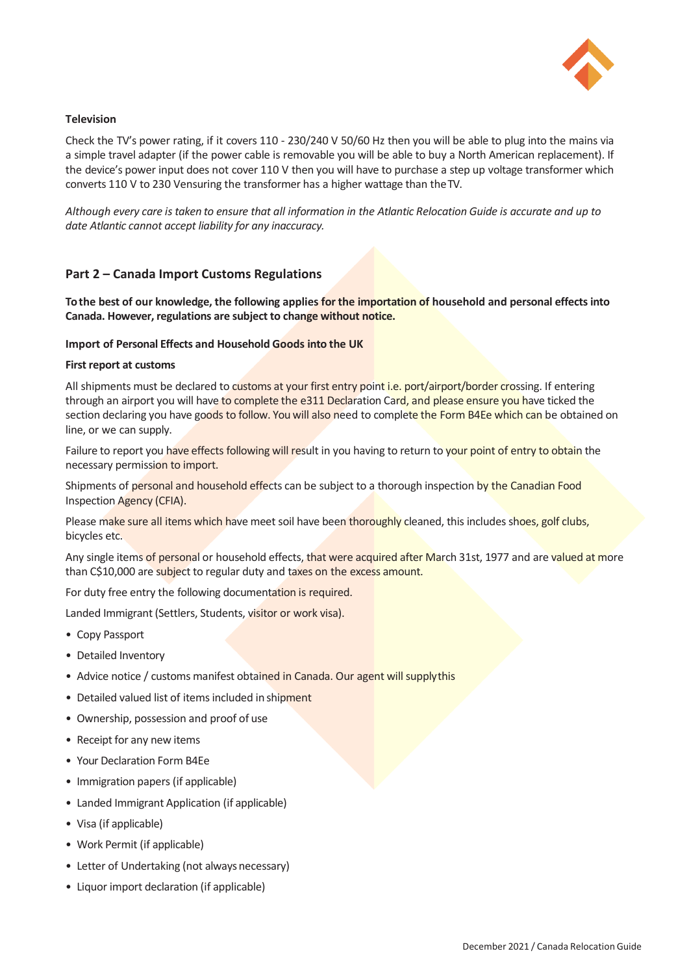

# **Television**

Check the TV's power rating, if it covers 110 - 230/240 V 50/60 Hz then you will be able to plug into the mains via a simple travel adapter (if the power cable is removable you will be able to buy a North American replacement). If the device's power input does not cover 110 V then you will have to purchase a step up voltage transformer which converts 110 V to 230 Vensuring the transformer has a higher wattage than the TV.

*Although every care is taken to ensure that all information in the Atlantic Relocation Guide is accurate and up to date Atlantic cannot accept liability for any inaccuracy.*

# **Part 2 – Canada Import Customs Regulations**

**To the best of our knowledge, the following applies for the importation of household and personal effects into Canada. However, regulations are subject to change without notice.**

## **Import of Personal Effects and Household Goods into the UK**

### **First report at customs**

All shipments must be declared to customs at your first entry point i.e. port/airport/border crossing. If entering through an airport you will have to complete the e311 Declaration Card, and please ensure you have ticked the section declaring you have goods to follow. You will also need to complete the Form B4Ee which can be obtained on line, or we can supply.

Failure to report you have effects following will result in you having to return to your point of entry to obtain the necessary permission to import.

Shipments of personal and household effects can be subject to a thorough inspection by the Canadian Food Inspection Agency (CFIA).

Please make sure all items which have meet soil have been thoroughly cleaned, this includes shoes, golf clubs, bicycles etc.

Any single items of personal or household effects, that were acquired after March 31st, 1977 and are valued at more than C\$10,000 are subject to regular duty and taxes on the excess amount.

For duty free entry the following documentation is required.

Landed Immigrant (Settlers, Students, visitor or work visa).

- Copy Passport
- Detailed Inventory
- Advice notice / customs manifest obtained in Canada. Our agent will supply this
- Detailed valued list of items included in shipment
- Ownership, possession and proof of use
- Receipt for any new items
- Your Declaration Form B4Ee
- Immigration papers (if applicable)
- Landed Immigrant Application (if applicable)
- Visa (if applicable)
- Work Permit (if applicable)
- Letter of Undertaking (not always necessary)
- Liquor import declaration (if applicable)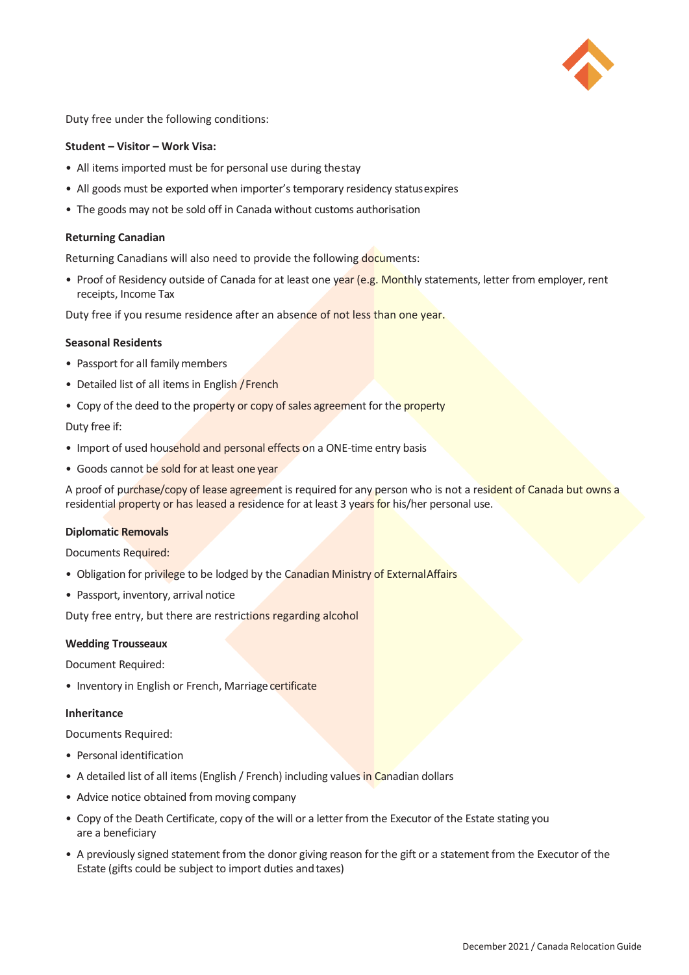

Duty free under the following conditions:

### **Student – Visitor – Work Visa:**

- All items imported must be for personal use during thestay
- All goods must be exported when importer's temporary residency statusexpires
- The goods may not be sold off in Canada without customs authorisation

### **Returning Canadian**

Returning Canadians will also need to provide the following documents:

• Proof of Residency outside of Canada for at least one year (e.g. Monthly statements, letter from employer, rent receipts, Income Tax

Duty free if you resume residence after an absence of not less than one year.

## **Seasonal Residents**

- Passport for all family members
- Detailed list of all items in English / French
- Copy of the deed to the property or copy of sales agreement for the property

Duty free if:

- Import of used household and personal effects on a ONE-time entry basis
- Goods cannot be sold for at least one year

A proof of purchase/copy of lease agreement is required for any person who is not a resident of Canada but owns a residential property or has leased a residence for at least 3 years for his/her personal use.

#### **Diplomatic Removals**

Documents Required:

- Obligation for privilege to be lodged by the Canadian Ministry of External Affairs
- Passport, inventory, arrival notice

Duty free entry, but there are restrictions regarding alcohol

#### **Wedding Trousseaux**

Document Required:

• Inventory in English or French, Marriage certificate

#### **Inheritance**

Documents Required:

- Personal identification
- A detailed list of all items (English / French) including values in Canadian dollars
- Advice notice obtained from moving company
- Copy of the Death Certificate, copy of the will or a letter from the Executor of the Estate stating you are a beneficiary
- A previously signed statement from the donor giving reason for the gift or a statement from the Executor of the Estate (gifts could be subject to import duties and taxes)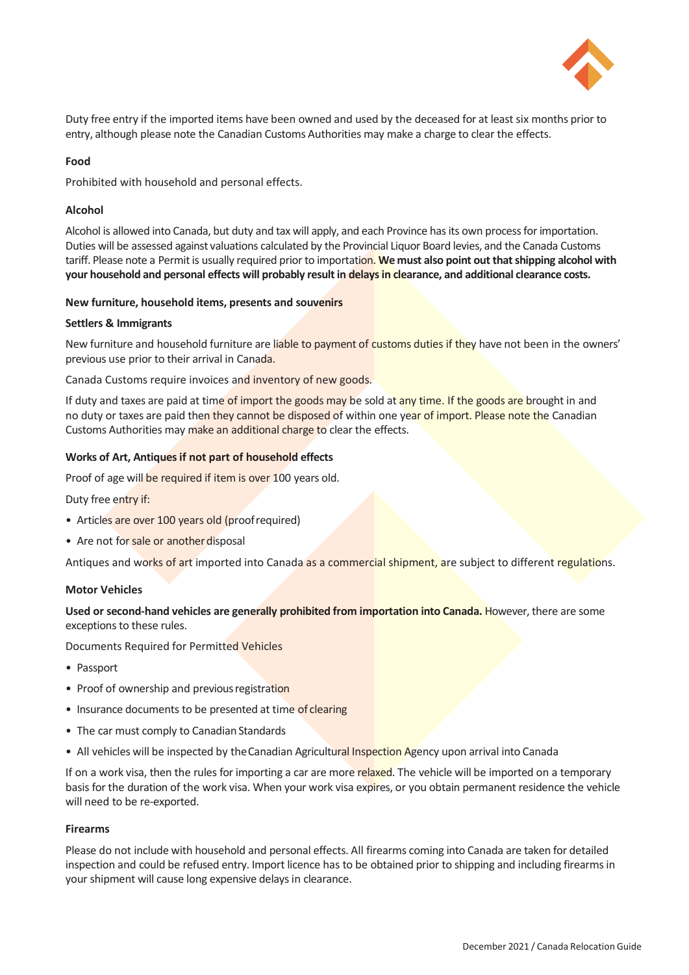

Duty free entry if the imported items have been owned and used by the deceased for at least six months prior to entry, although please note the Canadian Customs Authorities may make a charge to clear the effects.

## **Food**

Prohibited with household and personal effects.

## **Alcohol**

Alcohol is allowed into Canada, but duty and tax will apply, and each Province has its own process for importation. Duties will be assessed against valuations calculated by the Provincial Liquor Board levies, and the Canada Customs tariff. Please note a Permit is usually required prior to importation. **We must also point out that shipping alcohol with your household and personal effects will probably result in delays in clearance, and additional clearance costs.**

## **New furniture, household items, presents and souvenirs**

## **Settlers & Immigrants**

New furniture and household furniture are liable to payment of customs duties if they have not been in the owners' previous use prior to their arrival in Canada.

Canada Customs require invoices and inventory of new goods.

If duty and taxes are paid at time of import the goods may be sold at any time. If the goods are brought in and no duty or taxes are paid then they cannot be disposed of within one year of import. Please note the Canadian Customs Authorities may make an additional charge to clear the effects.

## **Works of Art, Antiques if not part of household effects**

Proof of age will be required if item is over 100 years old.

Duty free entry if:

- Articles are over 100 years old (proof required)
- Are not for sale or another disposal

Antiques and works of art imported into Canada as a commercial shipment, are subject to different regulations.

## **Motor Vehicles**

**Used or second-hand vehicles are generally prohibited from importation into Canada.** However, there are some exceptions to these rules.

Documents Required for Permitted Vehicles

- Passport
- Proof of ownership and previous registration
- Insurance documents to be presented at time of clearing
- The car must comply to Canadian Standards
- All vehicles will be inspected by the Canadian Agricultural Inspection Agency upon arrival into Canada

If on a work visa, then the rules for importing a car are more relaxed. The vehicle will be imported on a temporary basis for the duration of the work visa. When your work visa expires, or you obtain permanent residence the vehicle will need to be re-exported.

## **Firearms**

Please do not include with household and personal effects. All firearms coming into Canada are taken for detailed inspection and could be refused entry. Import licence has to be obtained prior to shipping and including firearms in your shipment will cause long expensive delays in clearance.